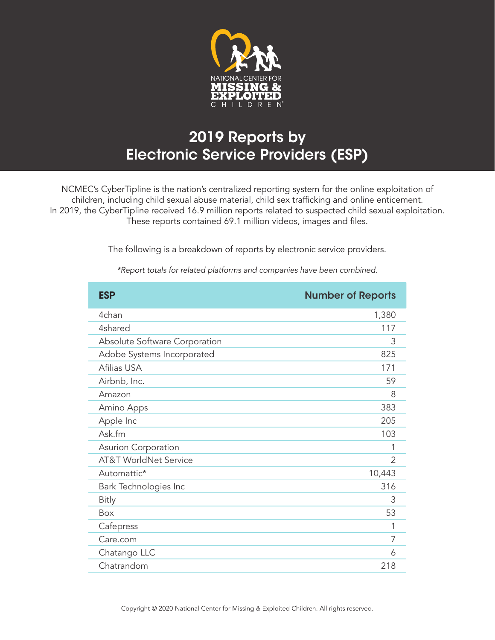

## 2019 Reports by Electronic Service Providers (ESP)

NCMEC's CyberTipline is the nation's centralized reporting system for the online exploitation of children, including child sexual abuse material, child sex trafficking and online enticement. In 2019, the CyberTipline received 16.9 million reports related to suspected child sexual exploitation. These reports contained 69.1 million videos, images and files.

The following is a breakdown of reports by electronic service providers.

| <b>ESP</b>                       | <b>Number of Reports</b> |
|----------------------------------|--------------------------|
| 4chan                            | 1,380                    |
| 4shared                          | 117                      |
| Absolute Software Corporation    | 3                        |
| Adobe Systems Incorporated       | 825                      |
| Afilias USA                      | 171                      |
| Airbnb, Inc.                     | 59                       |
| Amazon                           | 8                        |
| Amino Apps                       | 383                      |
| Apple Inc                        | 205                      |
| Ask.fm                           | 103                      |
| Asurion Corporation              | 1                        |
| <b>AT&amp;T WorldNet Service</b> | $\overline{2}$           |
| Automattic*                      | 10,443                   |
| Bark Technologies Inc            | 316                      |
| <b>Bitly</b>                     | 3                        |
| Box                              | 53                       |
| Cafepress                        |                          |
| Care.com                         | 7                        |
| Chatango LLC                     | 6                        |
| Chatrandom                       | 218                      |

*\*Report totals for related platforms and companies have been combined.*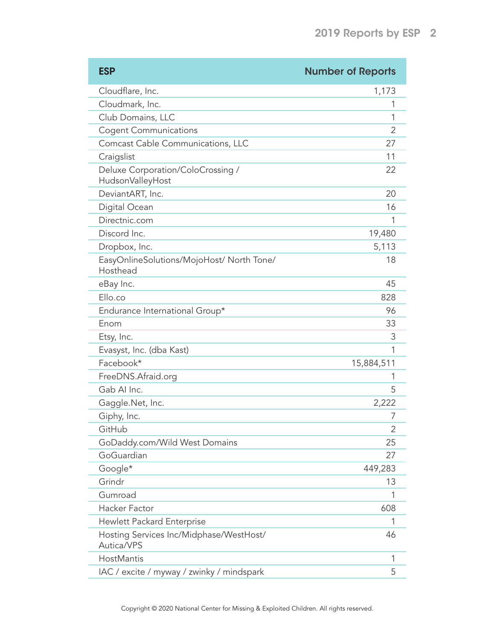| <b>ESP</b>                                            | <b>Number of Reports</b> |
|-------------------------------------------------------|--------------------------|
| Cloudflare, Inc.                                      | 1,173                    |
| Cloudmark, Inc.                                       | 1                        |
| Club Domains, LLC                                     | 1                        |
| <b>Cogent Communications</b>                          | 2                        |
| Comcast Cable Communications, LLC                     | 27                       |
| Craigslist                                            | 11                       |
| Deluxe Corporation/ColoCrossing /<br>HudsonValleyHost | 22                       |
| DeviantART, Inc.                                      | 20                       |
| Digital Ocean                                         | 16                       |
| Directnic.com                                         | 1                        |
| Discord Inc.                                          | 19,480                   |
| Dropbox, Inc.                                         | 5,113                    |
| EasyOnlineSolutions/MojoHost/ North Tone/<br>Hosthead | 18                       |
| eBay Inc.                                             | 45                       |
| Ello.co                                               | 828                      |
| Endurance International Group*                        | 96                       |
| Enom                                                  | 33                       |
| Etsy, Inc.                                            | 3                        |
| Evasyst, Inc. (dba Kast)                              | 1                        |
| Facebook*                                             | 15,884,511               |
| FreeDNS.Afraid.org                                    | 1                        |
| Gab Al Inc.                                           | 5                        |
| Gaggle.Net, Inc.                                      | 2,222                    |
| Giphy, Inc.                                           | 7                        |
| GitHub                                                | $\overline{2}$           |
| GoDaddy.com/Wild West Domains                         | 25                       |
| GoGuardian                                            | 27                       |
| Google*                                               | 449,283                  |
| Grindr                                                | 13                       |
| Gumroad                                               | 1                        |
| Hacker Factor                                         | 608                      |
| <b>Hewlett Packard Enterprise</b>                     | 1                        |
| Hosting Services Inc/Midphase/WestHost/<br>Autica/VPS | 46                       |
| HostMantis                                            | 1                        |
| IAC / excite / myway / zwinky / mindspark             | 5                        |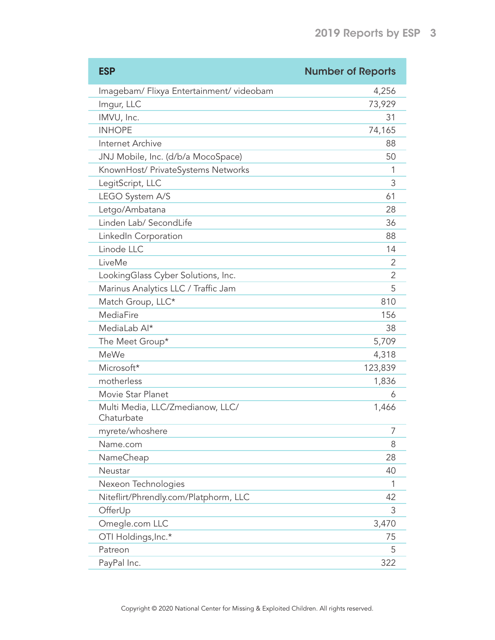| <b>ESP</b>                                     | <b>Number of Reports</b> |
|------------------------------------------------|--------------------------|
| Imagebam/ Flixya Entertainment/ videobam       | 4,256                    |
| Imgur, LLC                                     | 73,929                   |
| IMVU, Inc.                                     | 31                       |
| <b>INHOPE</b>                                  | 74,165                   |
| Internet Archive                               | 88                       |
| JNJ Mobile, Inc. (d/b/a MocoSpace)             | 50                       |
| KnownHost/ PrivateSystems Networks             | 1                        |
| LegitScript, LLC                               | 3                        |
| LEGO System A/S                                | 61                       |
| Letgo/Ambatana                                 | 28                       |
| Linden Lab/ SecondLife                         | 36                       |
| LinkedIn Corporation                           | 88                       |
| Linode LLC                                     | 14                       |
| LiveMe                                         | 2                        |
| LookingGlass Cyber Solutions, Inc.             | 2                        |
| Marinus Analytics LLC / Traffic Jam            | 5                        |
| Match Group, LLC*                              | 810                      |
| MediaFire                                      | 156                      |
| MediaLab Al*                                   | 38                       |
| The Meet Group*                                | 5,709                    |
| <b>MeWe</b>                                    | 4,318                    |
| Microsoft*                                     | 123,839                  |
| motherless                                     | 1,836                    |
| Movie Star Planet                              | 6                        |
| Multi Media, LLC/Zmedianow, LLC/<br>Chaturbate | 1,466                    |
| myrete/whoshere                                | 7                        |
| Name.com                                       | 8                        |
| NameCheap                                      | 28                       |
| Neustar                                        | 40                       |
| Nexeon Technologies                            | 1                        |
| Niteflirt/Phrendly.com/Platphorm, LLC          | 42                       |
| OfferUp                                        | 3                        |
| Omegle.com LLC                                 | 3,470                    |
| OTI Holdings, Inc.*                            | 75                       |
| Patreon                                        | 5                        |
| PayPal Inc.                                    | 322                      |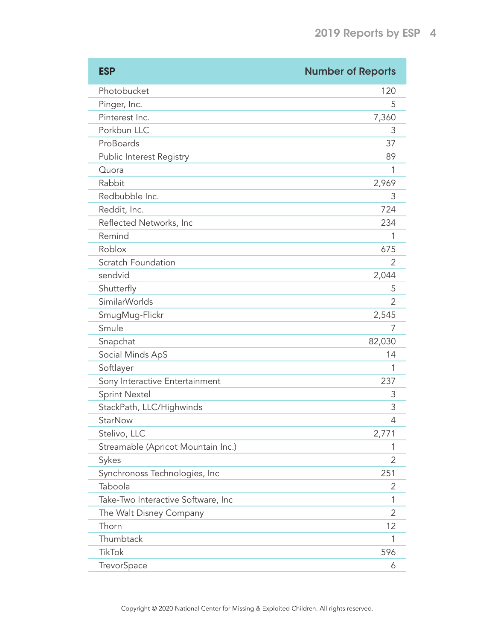| <b>ESP</b>                         | <b>Number of Reports</b> |
|------------------------------------|--------------------------|
| Photobucket                        | 120                      |
| Pinger, Inc.                       | 5                        |
| Pinterest Inc.                     | 7,360                    |
| Porkbun LLC                        | 3                        |
| ProBoards                          | 37                       |
| Public Interest Registry           | 89                       |
| Quora                              | 1                        |
| Rabbit                             | 2,969                    |
| Redbubble Inc.                     | 3                        |
| Reddit, Inc.                       | 724                      |
| Reflected Networks, Inc            | 234                      |
| Remind                             | 1                        |
| Roblox                             | 675                      |
| Scratch Foundation                 | 2                        |
| sendvid                            | 2,044                    |
| Shutterfly                         | 5                        |
| <b>SimilarWorlds</b>               | 2                        |
| SmugMug-Flickr                     | 2,545                    |
| Smule                              | 7                        |
| Snapchat                           | 82,030                   |
| Social Minds ApS                   | 14                       |
| Softlayer                          | 1                        |
| Sony Interactive Entertainment     | 237                      |
| <b>Sprint Nextel</b>               | 3                        |
| StackPath, LLC/Highwinds           | 3                        |
| <b>StarNow</b>                     | 4                        |
| Stelivo, LLC                       | 2,771                    |
| Streamable (Apricot Mountain Inc.) | 1                        |
| Sykes                              | $\overline{2}$           |
| Synchronoss Technologies, Inc      | 251                      |
| Taboola                            | $\overline{2}$           |
| Take-Two Interactive Software, Inc | 1                        |
| The Walt Disney Company            | 2                        |
| Thorn                              | 12                       |
| Thumbtack                          | 1                        |
| <b>TikTok</b>                      | 596                      |
| TrevorSpace                        | 6                        |